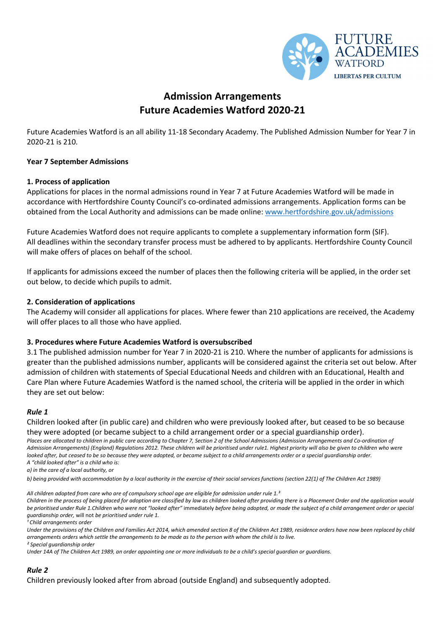

# Admission Arrangements Future Academies Watford 2020-21

Future Academies Watford is an all ability 11-18 Secondary Academy. The Published Admission Number for Year 7 in 2020-21 is 210.

### Year 7 September Admissions

### 1. Process of application

Applications for places in the normal admissions round in Year 7 at Future Academies Watford will be made in accordance with Hertfordshire County Council's co-ordinated admissions arrangements. Application forms can be obtained from the Local Authority and admissions can be made online: www.hertfordshire.gov.uk/admissions

Future Academies Watford does not require applicants to complete a supplementary information form (SIF). All deadlines within the secondary transfer process must be adhered to by applicants. Hertfordshire County Council will make offers of places on behalf of the school.

If applicants for admissions exceed the number of places then the following criteria will be applied, in the order set out below, to decide which pupils to admit.

### 2. Consideration of applications

The Academy will consider all applications for places. Where fewer than 210 applications are received, the Academy will offer places to all those who have applied.

### 3. Procedures where Future Academies Watford is oversubscribed

3.1 The published admission number for Year 7 in 2020-21 is 210. Where the number of applicants for admissions is greater than the published admissions number, applicants will be considered against the criteria set out below. After admission of children with statements of Special Educational Needs and children with an Educational, Health and Care Plan where Future Academies Watford is the named school, the criteria will be applied in the order in which they are set out below:

### Rule 1

Children looked after (in public care) and children who were previously looked after, but ceased to be so because they were adopted (or became subject to a child arrangement order or a special guardianship order).

Places are allocated to children in public care according to Chapter 7, Section 2 of the School Admissions (Admission Arrangements and Co-ordination of Admission Arrangements) (England) Regulations 2012. These children will be prioritised under rule1. Highest priority will also be given to children who were looked after, but ceased to be so because they were adopted, or became subject to a child arrangements order or a special guardianship order. A "child looked after" is a child who is:

a) in the care of a local authority, or

b) being provided with accommodation by a local authority in the exercise of their social services functions (section 22(1) of The Children Act 1989)

All children adopted from care who are of compulsory school age are eligible for admission under rule  $1<sup>3</sup>$ 

Children in the process of being placed for adoption are classified by law as children looked after providing there is a Placement Order and the application would be prioritised under Rule 1.Children who were not "looked after" immediately before being adopted, or made the subject of a child arrangement order or special guardianship order, will not be prioritised under rule 1.

<sup>1</sup> Child arrangements order

Under the provisions of the Children and Families Act 2014, which amended section 8 of the Children Act 1989, residence orders have now been replaced by child arrangements orders which settle the arrangements to be made as to the person with whom the child is to live. ² Special guardianship order

Under 14A of The Children Act 1989, an order appointing one or more individuals to be a child's special guardian or guardians.

### Rule 2

Children previously looked after from abroad (outside England) and subsequently adopted.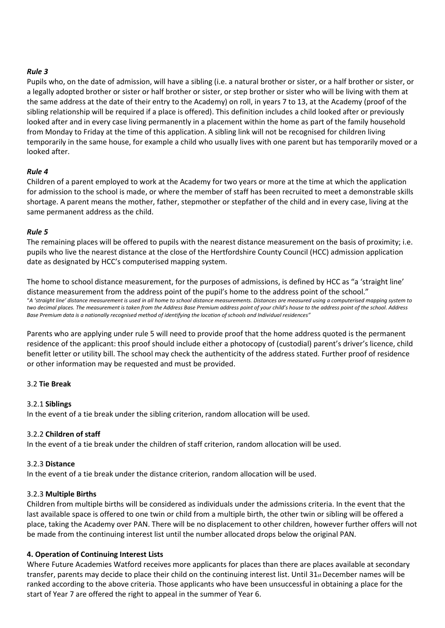### Rule 3

Pupils who, on the date of admission, will have a sibling (i.e. a natural brother or sister, or a half brother or sister, or a legally adopted brother or sister or half brother or sister, or step brother or sister who will be living with them at the same address at the date of their entry to the Academy) on roll, in years 7 to 13, at the Academy (proof of the sibling relationship will be required if a place is offered). This definition includes a child looked after or previously looked after and in every case living permanently in a placement within the home as part of the family household from Monday to Friday at the time of this application. A sibling link will not be recognised for children living temporarily in the same house, for example a child who usually lives with one parent but has temporarily moved or a looked after.

### Rule 4

Children of a parent employed to work at the Academy for two years or more at the time at which the application for admission to the school is made, or where the member of staff has been recruited to meet a demonstrable skills shortage. A parent means the mother, father, stepmother or stepfather of the child and in every case, living at the same permanent address as the child.

### Rule 5

The remaining places will be offered to pupils with the nearest distance measurement on the basis of proximity; i.e. pupils who live the nearest distance at the close of the Hertfordshire County Council (HCC) admission application date as designated by HCC's computerised mapping system.

The home to school distance measurement, for the purposes of admissions, is defined by HCC as "a 'straight line' distance measurement from the address point of the pupil's home to the address point of the school." "A 'straight line' distance measurement is used in all home to school distance measurements. Distances are measured using a computerised mapping system to two decimal places. The measurement is taken from the Address Base Premium address point of your child's house to the address point of the school. Address Base Premium data is a nationally recognised method of identifying the location of schools and Individual residences"

Parents who are applying under rule 5 will need to provide proof that the home address quoted is the permanent residence of the applicant: this proof should include either a photocopy of (custodial) parent's driver's licence, child benefit letter or utility bill. The school may check the authenticity of the address stated. Further proof of residence or other information may be requested and must be provided.

# 3.2 Tie Break

### 3.2.1 Siblings

In the event of a tie break under the sibling criterion, random allocation will be used.

# 3.2.2 Children of staff

In the event of a tie break under the children of staff criterion, random allocation will be used.

### 3.2.3 Distance

In the event of a tie break under the distance criterion, random allocation will be used.

### 3.2.3 Multiple Births

Children from multiple births will be considered as individuals under the admissions criteria. In the event that the last available space is offered to one twin or child from a multiple birth, the other twin or sibling will be offered a place, taking the Academy over PAN. There will be no displacement to other children, however further offers will not be made from the continuing interest list until the number allocated drops below the original PAN.

# 4. Operation of Continuing Interest Lists

Where Future Academies Watford receives more applicants for places than there are places available at secondary transfer, parents may decide to place their child on the continuing interest list. Until  $31_{st}$  December names will be ranked according to the above criteria. Those applicants who have been unsuccessful in obtaining a place for the start of Year 7 are offered the right to appeal in the summer of Year 6.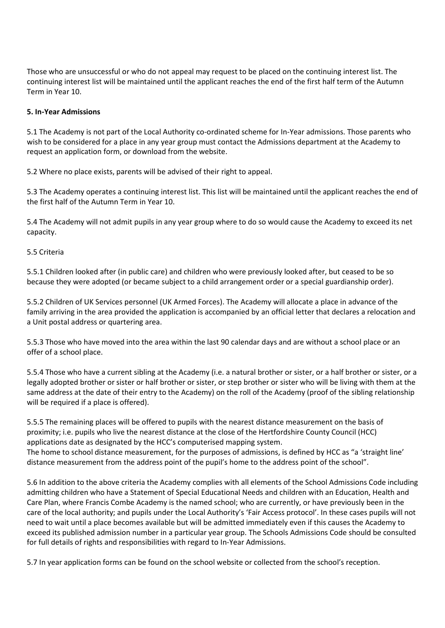Those who are unsuccessful or who do not appeal may request to be placed on the continuing interest list. The continuing interest list will be maintained until the applicant reaches the end of the first half term of the Autumn Term in Year 10.

### 5. In-Year Admissions

5.1 The Academy is not part of the Local Authority co-ordinated scheme for In-Year admissions. Those parents who wish to be considered for a place in any year group must contact the Admissions department at the Academy to request an application form, or download from the website.

5.2 Where no place exists, parents will be advised of their right to appeal.

5.3 The Academy operates a continuing interest list. This list will be maintained until the applicant reaches the end of the first half of the Autumn Term in Year 10.

5.4 The Academy will not admit pupils in any year group where to do so would cause the Academy to exceed its net capacity.

### 5.5 Criteria

5.5.1 Children looked after (in public care) and children who were previously looked after, but ceased to be so because they were adopted (or became subject to a child arrangement order or a special guardianship order).

5.5.2 Children of UK Services personnel (UK Armed Forces). The Academy will allocate a place in advance of the family arriving in the area provided the application is accompanied by an official letter that declares a relocation and a Unit postal address or quartering area.

5.5.3 Those who have moved into the area within the last 90 calendar days and are without a school place or an offer of a school place.

5.5.4 Those who have a current sibling at the Academy (i.e. a natural brother or sister, or a half brother or sister, or a legally adopted brother or sister or half brother or sister, or step brother or sister who will be living with them at the same address at the date of their entry to the Academy) on the roll of the Academy (proof of the sibling relationship will be required if a place is offered).

5.5.5 The remaining places will be offered to pupils with the nearest distance measurement on the basis of proximity; i.e. pupils who live the nearest distance at the close of the Hertfordshire County Council (HCC) applications date as designated by the HCC's computerised mapping system. The home to school distance measurement, for the purposes of admissions, is defined by HCC as "a 'straight line' distance measurement from the address point of the pupil's home to the address point of the school".

5.6 In addition to the above criteria the Academy complies with all elements of the School Admissions Code including admitting children who have a Statement of Special Educational Needs and children with an Education, Health and Care Plan, where Francis Combe Academy is the named school; who are currently, or have previously been in the care of the local authority; and pupils under the Local Authority's 'Fair Access protocol'. In these cases pupils will not need to wait until a place becomes available but will be admitted immediately even if this causes the Academy to exceed its published admission number in a particular year group. The Schools Admissions Code should be consulted for full details of rights and responsibilities with regard to In-Year Admissions.

5.7 In year application forms can be found on the school website or collected from the school's reception.